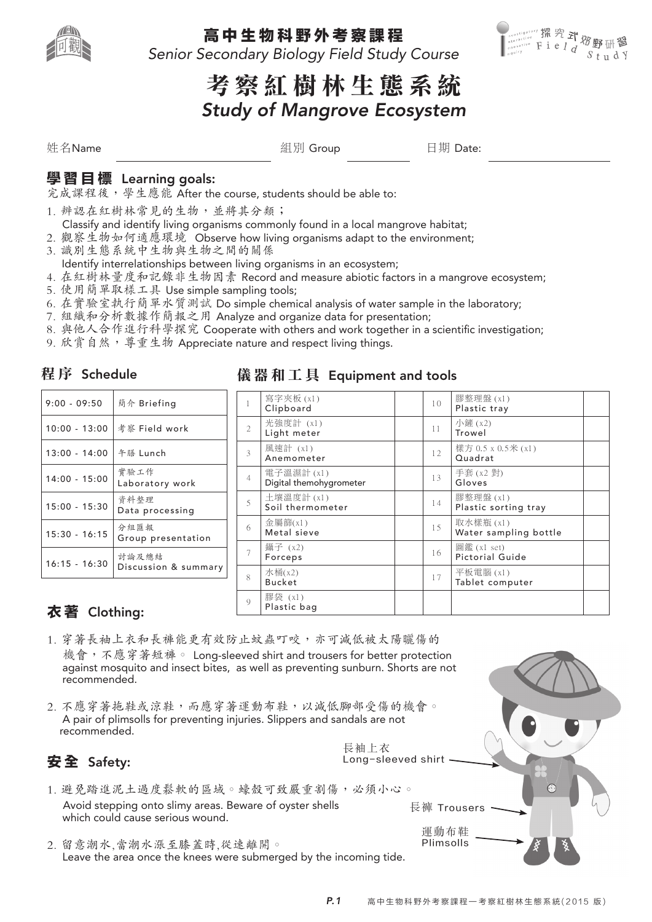

#### 高 中 生 物 科 野 外 考 察 課 程

Senior Secondary Biology Field Study Course



# 考 察 紅 樹 林 生 態 系 統 Study of Mangrove Ecosystem

姓名Name 組別 Group 日期 Date:

## 學 習 目 標 Learning goals:

完成課程後,學生應能 After the course, students should be able to:

- 1. 辨認在紅樹林常見的生物,並將其分類;
- Classify and identify living organisms commonly found in a local mangrove habitat;
- 2. 觀察生物如何適應環境 Observe how living organisms adapt to the environment;
- 3. 識別生態系統中生物與生物之間的關係
- Identify interrelationships between living organisms in an ecosystem;
- 4. 在紅樹林量度和記錄非生物因素 Record and measure abiotic factors in a mangrove ecosystem;
- 5. 使用簡單取樣工具 Use simple sampling tools;
- 6. 在實驗室執行簡單水質測試 Do simple chemical analysis of water sample in the laboratory;
- 7. 組織和分析數據作簡報之用 Analyze and organize data for presentation;
- 8. 與他人合作進行科學探究 Cooperate with others and work together in a scientific investigation;
- 9. 欣賞自然,導重生物 Appreciate nature and respect living things.

#### 程 序 Schedule

| $9:00 - 09:50$  | 簡介 Briefing                   |
|-----------------|-------------------------------|
| $10:00 - 13:00$ | 考察 Field work                 |
| $13:00 - 14:00$ | 午膳 Lunch                      |
| $14:00 - 15:00$ | 實驗工作<br>Laboratory work       |
| $15:00 - 15:30$ | 資料整理<br>Data processing       |
| $15:30 - 16:15$ | 分組匯報<br>Group presentation    |
| $16:15 - 16:30$ | 討論及總結<br>Discussion & summary |

#### 儀 器 和 工 具 Equipment and tools

長袖上衣

| $\mathbf{1}$   | 寫字夾板(x1)<br>Clipboard                | 1 <sub>0</sub> | 膠整理盤(x1)<br>Plastic tray              |
|----------------|--------------------------------------|----------------|---------------------------------------|
| $\overline{2}$ | 光強度計 (x1)<br>Light meter             | 11             | 小鏟 (x2)<br>Trowel                     |
| 3              | 風速計 (x1)<br>Anemometer               | 12.            | 樣方 0.5 x 0.5米 (x1)<br>Quadrat         |
| $\overline{4}$ | 電子溫濕計(x1)<br>Digital themohygrometer | 13             | 手套 (x2 對)<br>Gloves                   |
| 5              | 土壤溫度計 (x1)<br>Soil thermometer       | 14             | 膠整理盤(x1)<br>Plastic sorting tray      |
| 6              | 金屬篩 $(x1)$<br>Metal sieve            | 1.5            | 取水樣瓶(x1)<br>Water sampling bottle     |
| $\overline{7}$ | 鑷子 (x2)<br>Forceps                   | 16             | 圖鑑 (x1 set)<br><b>Pictorial Guide</b> |
| 8              | 水桶(x2)<br><b>Bucket</b>              | 17             | 平板電腦 (x1)<br>Tablet computer          |
| $\mathcal{Q}$  | 膠袋 (x1)<br>Plastic bag               |                |                                       |

## 衣 著 Clothing:

- 1. 穿著長袖上衣和長褲能更有效防止蚊蟲叮咬,亦可減低被太陽曬傷的 機會,不應穿著短褲。 Long-sleeved shirt and trousers for better protection against mosquito and insect bites, as well as preventing sunburn. Shorts are not recommended.
- 2. 不應穿著拖鞋或涼鞋,而應穿著運動布鞋,以減低腳部受傷的機會。 A pair of plimsolls for preventing injuries. Slippers and sandals are not recommended.

## 安 全 Safety:

- 1. 避免踏進泥土過度鬆軟的區域。蠔殼可致嚴重割傷,必須小心。 Avoid stepping onto slimy areas. Beware of oyster shells which could cause serious wound.
- 2. 留意潮水,當潮水漲至膝蓋時,從速離開。 Leave the area once the knees were submerged by the incoming tide.

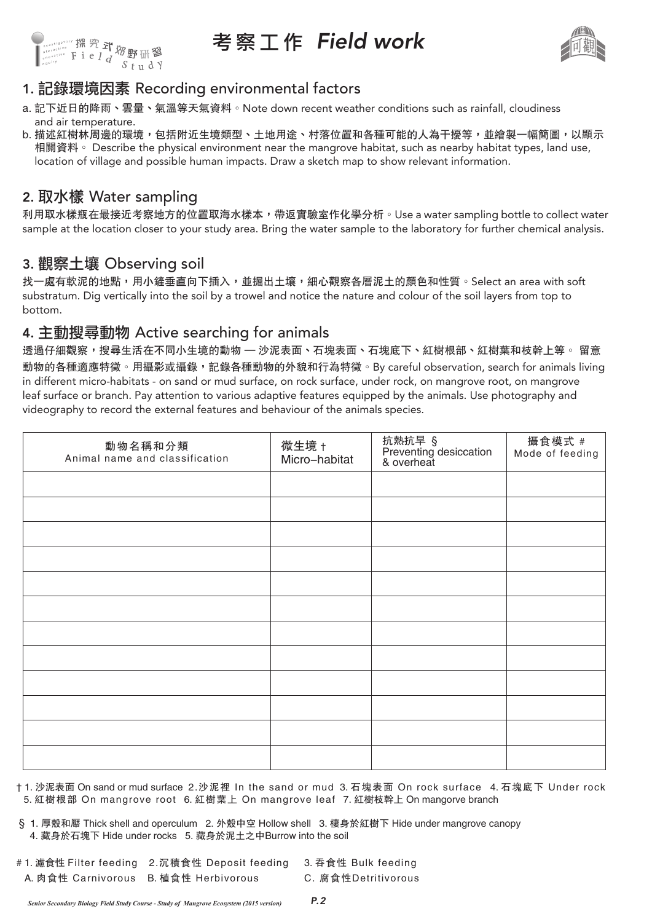

## 考 察 工 作 Field work



## 1. 記錄環境因素 Recording environmental factors

- a. 記下近日的降雨、雲量、氣溫等天氣資料。Note down recent weather conditions such as rainfall, cloudiness and air temperature.
- b. 描述紅樹林周邊的環境,包括附近生境類型、土地用途、村落位置和各種可能的人為干擾等,並繪製一幅簡圖,以顯示 相關資料。 Describe the physical environment near the mangrove habitat, such as nearby habitat types, land use, location of village and possible human impacts. Draw a sketch map to show relevant information.

## 2. 取水樣 Water sampling

利用取水樣瓶在最接近考察地方的位置取海水樣本,帶返實驗室作化學分析。Use a water sampling bottle to collect water sample at the location closer to your study area. Bring the water sample to the laboratory for further chemical analysis.

## 3. 觀察土壤 Observing soil

找一處有軟泥的地點,用小鏟垂直向下插入,並掘出土壤,細心觀察各層泥土的顏色和性質。Select an area with soft substratum. Dig vertically into the soil by a trowel and notice the nature and colour of the soil layers from top to bottom.

### 4. 主動搜尋動物 Active searching for animals

透過仔細觀察,搜尋生活在不同小生境的動物 — 沙泥表面、石塊表面、石塊底下、紅樹根部、紅樹葉和枝幹上等。 留意 動物的各種適應特徵。用攝影或攝錄,記錄各種動物的外貌和行為特徵。By careful observation, search for animals living in different micro-habitats - on sand or mud surface, on rock surface, under rock, on mangrove root, on mangrove leaf surface or branch. Pay attention to various adaptive features equipped by the animals. Use photography and videography to record the external features and behaviour of the animals species.

| 動物名稱和分類<br>Animal name and classification | 微生境 †<br>Micro-habitat | 抗熱抗旱 §<br>Preventing desiccation<br>& overheat | 攝食模式 #<br>Mode of feeding |
|-------------------------------------------|------------------------|------------------------------------------------|---------------------------|
|                                           |                        |                                                |                           |
|                                           |                        |                                                |                           |
|                                           |                        |                                                |                           |
|                                           |                        |                                                |                           |
|                                           |                        |                                                |                           |
|                                           |                        |                                                |                           |
|                                           |                        |                                                |                           |
|                                           |                        |                                                |                           |
|                                           |                        |                                                |                           |
|                                           |                        |                                                |                           |
|                                           |                        |                                                |                           |
|                                           |                        |                                                |                           |

† 1. 沙泥表面 On sand or mud surface 2.沙泥裡 In the sand or mud 3. 石塊表面 On rock surface 4. 石塊底下 Under rock 5. 紅樹根部 On mangrove root 6. 紅樹葉上 On mangrove leaf 7. 紅樹枝幹上 On mangorve branch

- § 1. 厚殼和厴 Thick shell and operculum 2. 外殼中空 Hollow shell 3. 棲身於紅樹下 Hide under mangrove canopy 4. 藏身於石塊下 Hide under rocks 5. 藏身於泥土之中Burrow into the soil
- # 1. 濾食性 Filter feeding 2.沉積食性 Deposit feeding 3. 吞食性 Bulk feeding A. 肉食性 Carnivorous B. 植食性 Herbivorous C. 腐食性Detritivorous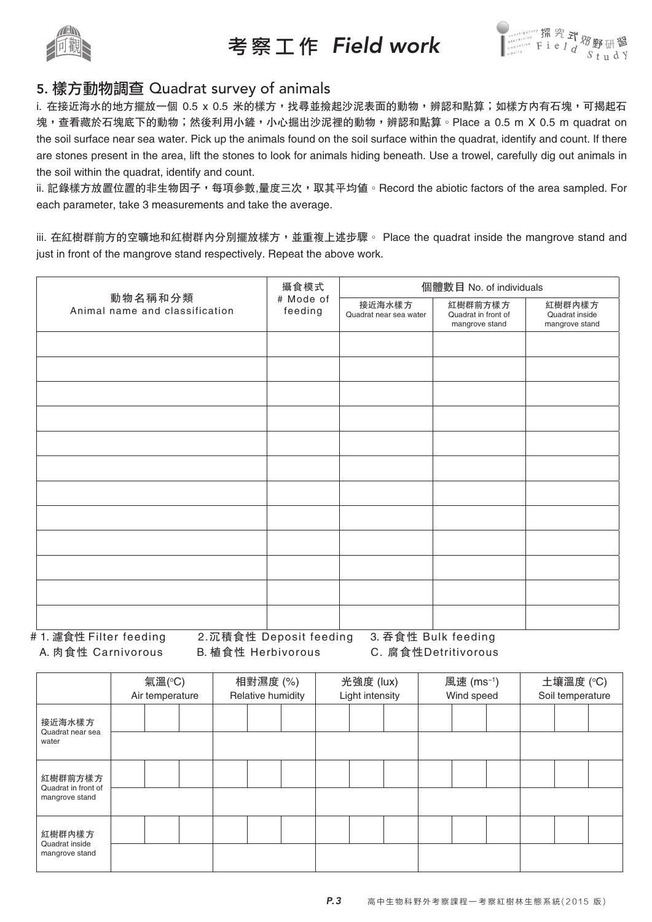

考 察 工 作 Field work



#### 5. 樣方動物調查 Quadrat survey of animals

i. 在接近海水的地方擺放一個 0.5 x 0.5 米的樣方,找尋並撿起沙泥表面的動物,辨認和點算;如樣方內有石塊,可揭起石 塊,查看藏於石塊底下的動物;然後利用小鏟,小心掘出沙泥裡的動物,辨認和點算。Place a 0.5 m X 0.5 m quadrat on the soil surface near sea water. Pick up the animals found on the soil surface within the quadrat, identify and count. If there are stones present in the area, lift the stones to look for animals hiding beneath. Use a trowel, carefully dig out animals in the soil within the quadrat, identify and count.

ii. 記錄樣方放置位置的非生物因子,每項參數,量度三次,取其平均值。Record the abiotic factors of the area sampled. For each parameter, take 3 measurements and take the average.

iii. 在紅樹群前方的空曠地和紅樹群内分別擺放樣方,並重複上述步驟。 Place the quadrat inside the mangrove stand and just in front of the mangrove stand respectively. Repeat the above work.

|                                           | 攝食模式                 | 個體數目 No. of individuals          |                                                  |                                            |  |  |  |  |
|-------------------------------------------|----------------------|----------------------------------|--------------------------------------------------|--------------------------------------------|--|--|--|--|
| 動物名稱和分類<br>Animal name and classification | # Mode of<br>feeding | 接近海水樣方<br>Quadrat near sea water | 紅樹群前方樣方<br>Quadrat in front of<br>mangrove stand | 紅樹群内樣方<br>Quadrat inside<br>mangrove stand |  |  |  |  |
|                                           |                      |                                  |                                                  |                                            |  |  |  |  |
|                                           |                      |                                  |                                                  |                                            |  |  |  |  |
|                                           |                      |                                  |                                                  |                                            |  |  |  |  |
|                                           |                      |                                  |                                                  |                                            |  |  |  |  |
|                                           |                      |                                  |                                                  |                                            |  |  |  |  |
|                                           |                      |                                  |                                                  |                                            |  |  |  |  |
|                                           |                      |                                  |                                                  |                                            |  |  |  |  |
|                                           |                      |                                  |                                                  |                                            |  |  |  |  |
|                                           |                      |                                  |                                                  |                                            |  |  |  |  |
|                                           |                      |                                  |                                                  |                                            |  |  |  |  |
|                                           |                      |                                  |                                                  |                                            |  |  |  |  |
|                                           |                      |                                  |                                                  |                                            |  |  |  |  |

# 1. 濾食性 Filter feeding 2.沉積食性 Deposit feeding 3. 吞食性 Bulk feeding A. 肉食性 Carnivorous B. 植食性 Herbivorous C. 腐食性Detritivorous

|                                                  | 氣溫(°C)<br>Air temperature |  | 相對濕度 (%)<br>Relative humidity |  | 光強度 (lux)<br>Light intensity |  |  | 風速 (ms <sup>-1</sup> )<br>Wind speed |  |  | 土壤溫度 (℃)<br>Soil temperature |  |  |  |  |
|--------------------------------------------------|---------------------------|--|-------------------------------|--|------------------------------|--|--|--------------------------------------|--|--|------------------------------|--|--|--|--|
| 接近海水樣方<br>Quadrat near sea<br>water              |                           |  |                               |  |                              |  |  |                                      |  |  |                              |  |  |  |  |
|                                                  |                           |  |                               |  |                              |  |  |                                      |  |  |                              |  |  |  |  |
| 紅樹群前方樣方<br>Quadrat in front of<br>mangrove stand |                           |  |                               |  |                              |  |  |                                      |  |  |                              |  |  |  |  |
|                                                  |                           |  |                               |  |                              |  |  |                                      |  |  |                              |  |  |  |  |
| 紅樹群内樣方                                           |                           |  |                               |  |                              |  |  |                                      |  |  |                              |  |  |  |  |
| Quadrat inside<br>mangrove stand                 |                           |  |                               |  |                              |  |  |                                      |  |  |                              |  |  |  |  |